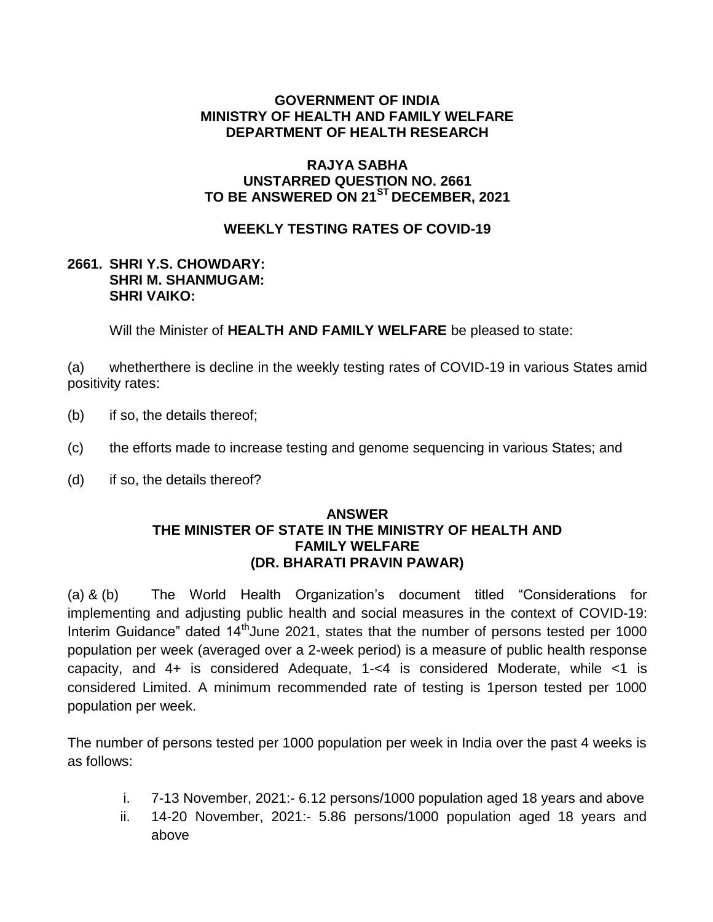## **GOVERNMENT OF INDIA MINISTRY OF HEALTH AND FAMILY WELFARE DEPARTMENT OF HEALTH RESEARCH**

## **RAJYA SABHA UNSTARRED QUESTION NO. 2661 TO BE ANSWERED ON 21ST DECEMBER, 2021**

# **WEEKLY TESTING RATES OF COVID-19**

### **2661. SHRI Y.S. CHOWDARY: SHRI M. SHANMUGAM: SHRI VAIKO:**

Will the Minister of **HEALTH AND FAMILY WELFARE** be pleased to state:

(a) whetherthere is decline in the weekly testing rates of COVID-19 in various States amid positivity rates:

- (b) if so, the details thereof;
- (c) the efforts made to increase testing and genome sequencing in various States; and
- (d) if so, the details thereof?

### **ANSWER THE MINISTER OF STATE IN THE MINISTRY OF HEALTH AND FAMILY WELFARE (DR. BHARATI PRAVIN PAWAR)**

(a) & (b) The World Health Organization's document titled "Considerations for implementing and adjusting public health and social measures in the context of COVID-19: Interim Guidance" dated  $14<sup>th</sup>$  June 2021, states that the number of persons tested per 1000 population per week (averaged over a 2-week period) is a measure of public health response capacity, and 4+ is considered Adequate, 1-<4 is considered Moderate, while <1 is considered Limited. A minimum recommended rate of testing is 1person tested per 1000 population per week.

The number of persons tested per 1000 population per week in India over the past 4 weeks is as follows:

- i. 7-13 November, 2021:- 6.12 persons/1000 population aged 18 years and above
- ii. 14-20 November, 2021:- 5.86 persons/1000 population aged 18 years and above